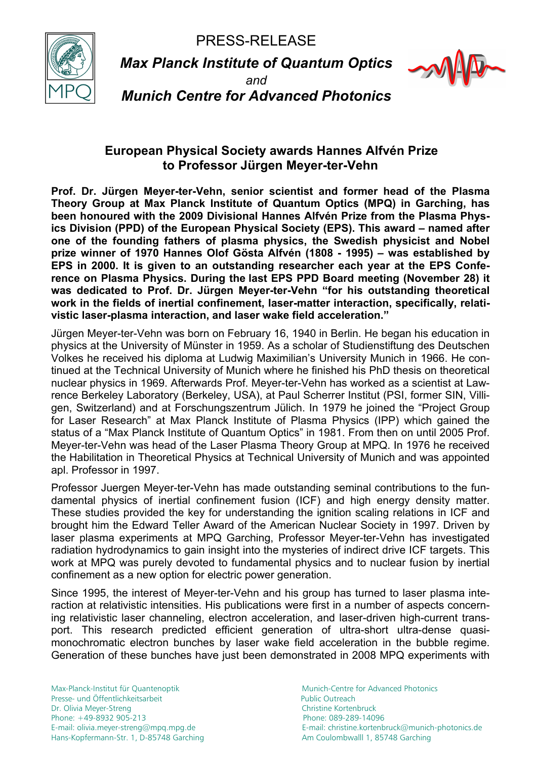PRESS-RELEASE



*Max Planck Institute of Quantum Optics* 



*and Munich Centre for Advanced Photonics*

## **European Physical Society awards Hannes Alfvén Prize to Professor Jürgen Meyer-ter-Vehn**

**Prof. Dr. Jürgen Meyer-ter-Vehn, senior scientist and former head of the Plasma Theory Group at Max Planck Institute of Quantum Optics (MPQ) in Garching, has been honoured with the 2009 Divisional Hannes Alfvén Prize from the Plasma Physics Division (PPD) of the European Physical Society (EPS). This award – named after one of the founding fathers of plasma physics, the Swedish physicist and Nobel prize winner of 1970 Hannes Olof Gösta Alfvén (1808 - 1995) – was established by EPS in 2000. It is given to an outstanding researcher each year at the EPS Conference on Plasma Physics. During the last EPS PPD Board meeting (November 28) it was dedicated to Prof. Dr. Jürgen Meyer-ter-Vehn "for his outstanding theoretical work in the fields of inertial confinement, laser-matter interaction, specifically, relativistic laser-plasma interaction, and laser wake field acceleration."** 

Jürgen Meyer-ter-Vehn was born on February 16, 1940 in Berlin. He began his education in physics at the University of Münster in 1959. As a scholar of Studienstiftung des Deutschen Volkes he received his diploma at Ludwig Maximilian's University Munich in 1966. He continued at the Technical University of Munich where he finished his PhD thesis on theoretical nuclear physics in 1969. Afterwards Prof. Meyer-ter-Vehn has worked as a scientist at Lawrence Berkeley Laboratory (Berkeley, USA), at Paul Scherrer Institut (PSI, former SIN, Villigen, Switzerland) and at Forschungszentrum Jülich. In 1979 he joined the "Project Group for Laser Research" at Max Planck Institute of Plasma Physics (IPP) which gained the status of a "Max Planck Institute of Quantum Optics" in 1981. From then on until 2005 Prof. Meyer-ter-Vehn was head of the Laser Plasma Theory Group at MPQ. In 1976 he received the Habilitation in Theoretical Physics at Technical University of Munich and was appointed apl. Professor in 1997.

Professor Juergen Meyer-ter-Vehn has made outstanding seminal contributions to the fundamental physics of inertial confinement fusion (ICF) and high energy density matter. These studies provided the key for understanding the ignition scaling relations in ICF and brought him the Edward Teller Award of the American Nuclear Society in 1997. Driven by laser plasma experiments at MPQ Garching, Professor Meyer-ter-Vehn has investigated radiation hydrodynamics to gain insight into the mysteries of indirect drive ICF targets. This work at MPQ was purely devoted to fundamental physics and to nuclear fusion by inertial confinement as a new option for electric power generation.

Since 1995, the interest of Meyer-ter-Vehn and his group has turned to laser plasma interaction at relativistic intensities. His publications were first in a number of aspects concerning relativistic laser channeling, electron acceleration, and laser-driven high-current transport. This research predicted efficient generation of ultra-short ultra-dense quasimonochromatic electron bunches by laser wake field acceleration in the bubble regime. Generation of these bunches have just been demonstrated in 2008 MPQ experiments with

Max-Planck-Institut für Quantenoptik Munich-Centre for Advanced Photonics Presse- und Öffentlichkeitsarbeit Public Outreach Dr. Olivia Meyer-Streng Christine Kortenbruck Phone: +49-8932 905-213 Phone: 089-289-14096 Hans-Kopfermann-Str. 1, D-85748 Garching Am Coulombwalll 1, 85748 Garching

E-mail: olivia.meyer-streng@mpq.mpg.de E-mail: christine.kortenbruck@munich-photonics.de